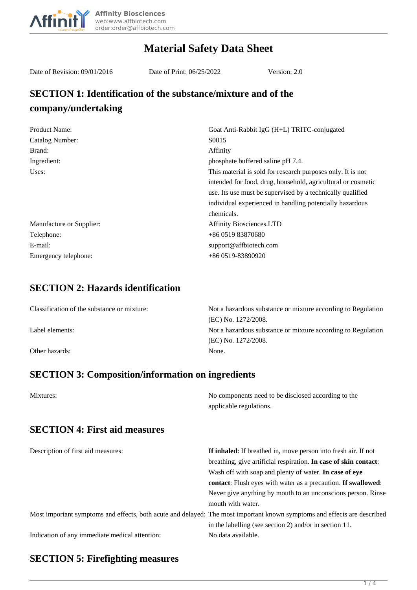

# **Material Safety Data Sheet**

Date of Revision: 09/01/2016 Date of Print: 06/25/2022 Version: 2.0

## **SECTION 1: Identification of the substance/mixture and of the company/undertaking**

| Product Name:            | Goat Anti-Rabbit IgG (H+L) TRITC-conjugated                  |
|--------------------------|--------------------------------------------------------------|
| Catalog Number:          | S0015                                                        |
| Brand:                   | Affinity                                                     |
| Ingredient:              | phosphate buffered saline pH 7.4.                            |
| Uses:                    | This material is sold for research purposes only. It is not  |
|                          | intended for food, drug, household, agricultural or cosmetic |
|                          | use. Its use must be supervised by a technically qualified   |
|                          | individual experienced in handling potentially hazardous     |
|                          | chemicals.                                                   |
| Manufacture or Supplier: | <b>Affinity Biosciences.LTD</b>                              |
| Telephone:               | +86 0519 83870680                                            |
| E-mail:                  | support@affbiotech.com                                       |
| Emergency telephone:     | $+860519 - 83890920$                                         |

#### **SECTION 2: Hazards identification**

| Classification of the substance or mixture: | Not a hazardous substance or mixture according to Regulation |
|---------------------------------------------|--------------------------------------------------------------|
|                                             | (EC) No. 1272/2008.                                          |
| Label elements:                             | Not a hazardous substance or mixture according to Regulation |
|                                             | (EC) No. 1272/2008.                                          |
| Other hazards:                              | None.                                                        |

## **SECTION 3: Composition/information on ingredients**

| Mixtures:                                      | No components need to be disclosed according to the<br>applicable regulations.                                                                                                                                                                                                                                                                                   |
|------------------------------------------------|------------------------------------------------------------------------------------------------------------------------------------------------------------------------------------------------------------------------------------------------------------------------------------------------------------------------------------------------------------------|
| <b>SECTION 4: First aid measures</b>           |                                                                                                                                                                                                                                                                                                                                                                  |
| Description of first aid measures:             | If inhaled: If breathed in, move person into fresh air. If not<br>breathing, give artificial respiration. In case of skin contact:<br>Wash off with soap and plenty of water. In case of eye<br><b>contact:</b> Flush eyes with water as a precaution. <b>If swallowed:</b><br>Never give anything by mouth to an unconscious person. Rinse<br>mouth with water. |
|                                                | Most important symptoms and effects, both acute and delayed: The most important known symptoms and effects are described<br>in the labelling (see section 2) and/or in section 11.                                                                                                                                                                               |
| Indication of any immediate medical attention: | No data available.                                                                                                                                                                                                                                                                                                                                               |

#### **SECTION 5: Firefighting measures**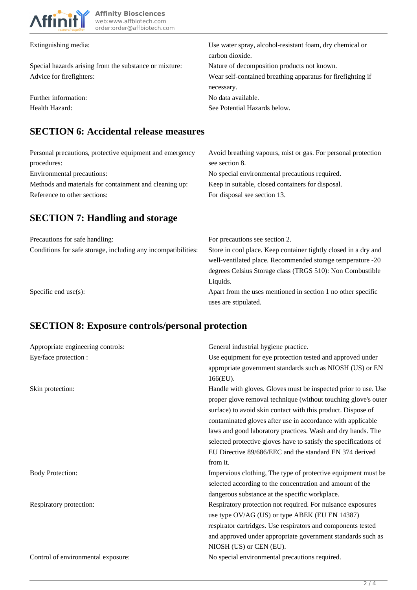

| Extinguishing media:                                   | Use water spray, alcohol-resistant foam, dry chemical or     |
|--------------------------------------------------------|--------------------------------------------------------------|
|                                                        | carbon dioxide.                                              |
| Special hazards arising from the substance or mixture: | Nature of decomposition products not known.                  |
| Advice for firefighters:                               | Wear self-contained breathing apparatus for fire fighting if |
|                                                        | necessary.                                                   |
| Further information:                                   | No data available.                                           |
| Health Hazard:                                         | See Potential Hazards below.                                 |

#### **SECTION 6: Accidental release measures**

| Personal precautions, protective equipment and emergency | Avoid breathing vapours, mist or gas. For personal protection |
|----------------------------------------------------------|---------------------------------------------------------------|
| procedures:                                              | see section 8.                                                |
| Environmental precautions:                               | No special environmental precautions required.                |
| Methods and materials for containment and cleaning up:   | Keep in suitable, closed containers for disposal.             |
| Reference to other sections:                             | For disposal see section 13.                                  |

# **SECTION 7: Handling and storage**

| Precautions for safe handling:                                | For precautions see section 2.                                  |
|---------------------------------------------------------------|-----------------------------------------------------------------|
| Conditions for safe storage, including any incompatibilities: | Store in cool place. Keep container tightly closed in a dry and |
|                                                               | well-ventilated place. Recommended storage temperature -20      |
|                                                               | degrees Celsius Storage class (TRGS 510): Non Combustible       |
|                                                               | Liquids.                                                        |
| Specific end use $(s)$ :                                      | Apart from the uses mentioned in section 1 no other specific    |
|                                                               | uses are stipulated.                                            |

# **SECTION 8: Exposure controls/personal protection**

| Appropriate engineering controls:  | General industrial hygiene practice.                                                                                                                                                                                                                                                                                                                                                                                                                                      |
|------------------------------------|---------------------------------------------------------------------------------------------------------------------------------------------------------------------------------------------------------------------------------------------------------------------------------------------------------------------------------------------------------------------------------------------------------------------------------------------------------------------------|
| Eye/face protection :              | Use equipment for eye protection tested and approved under<br>appropriate government standards such as NIOSH (US) or EN<br>166(EU).                                                                                                                                                                                                                                                                                                                                       |
| Skin protection:                   | Handle with gloves. Gloves must be inspected prior to use. Use<br>proper glove removal technique (without touching glove's outer<br>surface) to avoid skin contact with this product. Dispose of<br>contaminated gloves after use in accordance with applicable<br>laws and good laboratory practices. Wash and dry hands. The<br>selected protective gloves have to satisfy the specifications of<br>EU Directive 89/686/EEC and the standard EN 374 derived<br>from it. |
| <b>Body Protection:</b>            | Impervious clothing, The type of protective equipment must be<br>selected according to the concentration and amount of the<br>dangerous substance at the specific workplace.                                                                                                                                                                                                                                                                                              |
| Respiratory protection:            | Respiratory protection not required. For nuisance exposures<br>use type OV/AG (US) or type ABEK (EU EN 14387)<br>respirator cartridges. Use respirators and components tested<br>and approved under appropriate government standards such as<br>NIOSH (US) or CEN (EU).                                                                                                                                                                                                   |
| Control of environmental exposure: | No special environmental precautions required.                                                                                                                                                                                                                                                                                                                                                                                                                            |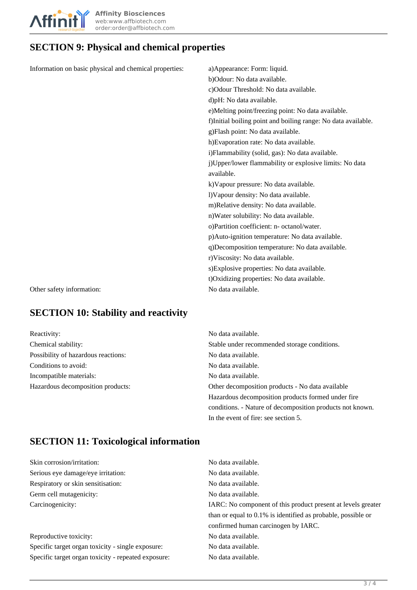

# **SECTION 9: Physical and chemical properties**

| Information on basic physical and chemical properties: | a) Appearance: Form: liquid.                                  |
|--------------------------------------------------------|---------------------------------------------------------------|
|                                                        | b)Odour: No data available.                                   |
|                                                        | c) Odour Threshold: No data available.                        |
|                                                        | d)pH: No data available.                                      |
|                                                        | e)Melting point/freezing point: No data available.            |
|                                                        | f)Initial boiling point and boiling range: No data available. |
|                                                        | g)Flash point: No data available.                             |
|                                                        | h)Evaporation rate: No data available.                        |
|                                                        | i) Flammability (solid, gas): No data available.              |
|                                                        | j)Upper/lower flammability or explosive limits: No data       |
|                                                        | available.                                                    |
|                                                        | k) Vapour pressure: No data available.                        |
|                                                        | l)Vapour density: No data available.                          |
|                                                        | m)Relative density: No data available.                        |
|                                                        | n) Water solubility: No data available.                       |
|                                                        | o)Partition coefficient: n- octanol/water.                    |
|                                                        | p)Auto-ignition temperature: No data available.               |
|                                                        | q)Decomposition temperature: No data available.               |
|                                                        | r)Viscosity: No data available.                               |
|                                                        | s) Explosive properties: No data available.                   |
|                                                        | t) Oxidizing properties: No data available.                   |
| Other safety information:                              | No data available.                                            |
|                                                        |                                                               |

# **SECTION 10: Stability and reactivity**

| Reactivity:                         | No data available.                                        |
|-------------------------------------|-----------------------------------------------------------|
| Chemical stability:                 | Stable under recommended storage conditions.              |
| Possibility of hazardous reactions: | No data available.                                        |
| Conditions to avoid:                | No data available.                                        |
| Incompatible materials:             | No data available.                                        |
| Hazardous decomposition products:   | Other decomposition products - No data available          |
|                                     | Hazardous decomposition products formed under fire        |
|                                     | conditions. - Nature of decomposition products not known. |
|                                     | In the event of fire: see section 5.                      |

# **SECTION 11: Toxicological information**

| Skin corrosion/irritation:                          | No data available.                                              |
|-----------------------------------------------------|-----------------------------------------------------------------|
| Serious eye damage/eye irritation:                  | No data available.                                              |
| Respiratory or skin sensitisation:                  | No data available.                                              |
| Germ cell mutagenicity:                             | No data available.                                              |
| Carcinogenicity:                                    | IARC: No component of this product present at levels greater    |
|                                                     | than or equal to $0.1\%$ is identified as probable, possible or |
|                                                     | confirmed human carcinogen by IARC.                             |
| Reproductive toxicity:                              | No data available.                                              |
| Specific target organ toxicity - single exposure:   | No data available.                                              |
| Specific target organ toxicity - repeated exposure: | No data available.                                              |